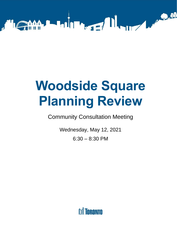

# **Woodside Square Planning Review**

Community Consultation Meeting

 Wednesday, May 12, 2021 6:30 – 8:30 PM

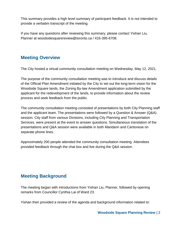provide a verbatim transcript of the meeting. This summary provides a high level summary of participant feedback. It is not intended to

 If you have any questions after reviewing this summary, please contact Yishan Liu, Planner at woodsidesquarereview@toronto.ca / 416-395-6708.

## **Meeting Overview**

The City hosted a virtual community consultation meeting on Wednesday, May 12, 2021.

 Woodside Square lands, the Zoning By-law Amendment application submitted by the process and seek feedback from the public. The purpose of the community consultation meeting was to introduce and discuss details of the Official Plan Amendment initiated by the City to set out the long-term vision for the applicant for the redevelopment of the lands, to provide information about the review

 Services, were present at the event to answer questions. Simultaneous translation of the The community consultation meeting consisted of presentations by both City Planning staff and the applicant team. The presentations were followed by a Question & Answer (Q&A) session. City staff from various Divisions, including City Planning and Transportation presentations and Q&A session were available in both Mandarin and Cantonese on separate phone lines.

Approximately 200 people attended the community consultation meeting. Attendees provided feedback through the chat box and live during the Q&A session.

# **Meeting Background**

 The meeting began with introductions from Yishan Liu, Planner, followed by opening remarks from Councillor Cynthia Lai of Ward 23.

Yishan then provided a review of the agenda and background information related to: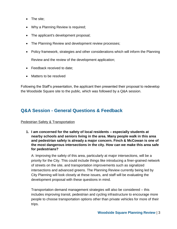- The site;
- Why a Planning Review is required;
- The applicant's development proposal;
- The Planning Review and development review processes;
- Policy framework, strategies and other considerations which will inform the Planning

Review and the review of the development application;

- Feedback received to date;
- Matters to be resolved

 the Woodside Square site to the public, which was followed by a Q&A session. Following the Staff's presentation, the applicant then presented their proposal to redevelop

# **Q&A Session - General Questions & Feedback**

### **Pedestrian Safety & Transportation**

 **1. I am concerned for the safety of local residents – especially students at the most dangerous intersections in the city. How can we make this area safe nearby schools and seniors living in the area. Many people walk in this area and pedestrian safety is already a major concern. Finch & McCowan is one of for pedestrians?** 

 intersections and advanced greens. The Planning Review currently being led by A: Improving the safety of this area, particularly at major intersections, will be a priority for the City. This could include things like introducing a finer-grained network of streets on the site, and transportation improvements such as signalized City Planning will look closely at these issues, and staff will be evaluating the development proposal with these questions in mind.

 Transportation demand management strategies will also be considered – this includes improving transit, pedestrian and cycling infrastructure to encourage more people to choose transportation options other than private vehicles for more of their trips.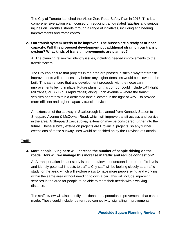comprehensive action plan focused on reducing traffic-related fatalities and serious The City of Toronto launched the Vision Zero Road Safety Plan in 2016. This is a injuries on Toronto's streets through a range of initiatives, including engineering improvements and traffic control.

 **2. Our transit system needs to be improved. The busses are already at or near capacity. Will this proposed development put additional strain on our transit system? What kinds of transit improvements are planned?** 

transit system. A: The planning review will identify issues, including needed improvements to the

transit system.<br>The City can ensure that projects in the area are phased in such a way that transit improvements will be necessary before any higher densities would be allowed to be built. This can ensure that any development proceeds with the necessary rail transit) or BRT (bus rapid transit) along Finch Avenue – where the transit vehicles operate within a dedicated lane allocated in the right-of-way – to provide more efficient and higher-capacity transit service. improvements being in place. Future plans for this corridor could include LRT (light

more efficient and higher-capacity transit service.<br>An extension of the subway in Scarborough is planned from Kennedy Station to extensions of these subway lines would be decided on by the Province of Ontario. Sheppard Avenue & McCowan Road, which will improve transit access and service in the area. A Sheppard East subway extension may be considered further into the future. These subway extension projects are Provincial projects, so any further

#### **Traffic**

#### **roads. How will we manage this increase in traffic and reduce congestion? 3. More people living here will increase the number of people driving on the**

 within the same area without needing to own a car. This will include improving A: A transportation impact study is under review to understand current traffic levels and identify potential impacts to traffic. City staff will be looking closely at a traffic study for the area, which will explore ways to have more people living and working services in the area for people to be able to meet their needs within walking distance.

The staff review will also identify additional transportation improvements that can be made. These could include: better road connectivity, signalling improvements,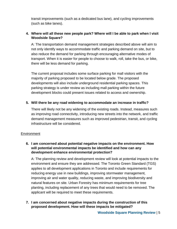transit improvements (such as a dedicated bus lane), and cycling improvements (such as bike lanes).

#### **4. Where will all these new people park? Where will I be able to park when I visit Woodside Square?**

 A: The transportation demand management strategies described above will aim to also reduce the demand for parking through encouraging alternative modes of not only identify ways to accommodate traffic and parking demand on site, but to transport. When it is easier for people to choose to walk, roll, take the bus, or bike, there will be less demand for parking.

 development blocks could present issues related to access and ownership. The current proposal includes some surface parking for mall visitors with the majority of parking proposed to be located below grade. The proposed developments will also include underground residential parking spaces. This parking strategy is under review as including mall parking within the future

#### **5. Will there be any road widening to accommodate an increase in traffic?**

There will likely not be any widening of the existing roads. Instead, measures such as improving road connectivity, introducing new streets into the network, and traffic demand management measures such as improved pedestrian, transit, and cycling infrastructure will be considered.

#### **Environment**

#### **will potential environmental impacts be identified and how can any 6. I am concerned about potential negative impacts on the environment. How development enhance environmental protection?**

 environment and ensure they are addressed. The Toronto Green Standard (TGS) planting, including replacement of any trees that would need to be removed. The applicant will be required to meet these requirements. A: The planning review and development review will look at potential impacts to the applies to all development applications in Toronto and include requirements for reducing energy use in new buildings, improving stormwater management, improving air and water quality, reducing waste, and improving biodiversity and natural features on site. Urban Forestry has minimum requirements for tree

**7. I am concerned about negative impacts during the construction of this proposed development. How will these impacts be mitigated?**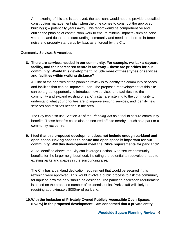building(s) – potentially years away. This report would be comprehensive and A: If rezoning of this site is approved, the applicant would need to provide a detailed construction management plan when the time comes to construct the approved outline the phasing of construction work to ensure minimal impacts (such as noise, vibration, and dust) to the surrounding community and need to adhere to in-force noise and property standards by-laws as enforced by the City.

#### Community Services & Amenities

 **8. There are services needed in our community. For example, we lack a daycare facility, and the nearest rec centre is far away – these are priorities for our community. Would this development include more of these types of services and facilities within walking distance?** 

A: One of the priorities of the planning review is to identify the community services and facilities that can be improved upon. The proposed redevelopment of this site can be a great opportunity to introduce new services and facilities into the community and expand existing ones. City staff are listening to the community to understand what your priorities are to improve existing services, and identify new services and facilities needed in the area.

 The City can also use Section 37 of the *Planning Act* as a tool to secure community benefits. These benefits could also be secured off-site nearby – such as a park or a community rec centre.

#### **9. I feel that this proposed development does not include enough parkland and open space. Having access to nature and open space is important for our community. Will this development meet the City's requirements for parkland?**

A: As identified above, the City can leverage Section 37 to secure community benefits for the larger neighbourhood, including the potential to redevelop or add to existing parks and spaces in the surrounding area.

requiring approximately 8000m<sup>2</sup> of parkland. The City has a parkland dedication requirement that would be secured if this rezoning were approved. This would involve a public process to ask the community for input on how the park should be designed. The parkland dedication requirement is based on the proposed number of residential units. Parks staff will likely be

### **10.With the inclusion of Privately Owned Publicly-Accessible Open Spaces (POPS) in the proposed development, I am concerned that a private entity**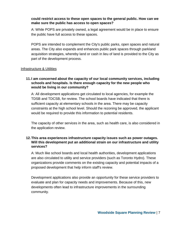#### **could restrict access to these open spaces to the general public. How can we make sure the public has access to open spaces?**

the public have full access to these spaces. A: While POPS are privately owned, a legal agreement would be in place to ensure

the public have full access to these spaces.<br>POPS are intended to complement the City's public parks, open spaces and natural part of the development process.<br>Infrastructure & Utilities areas. The City also expands and enhances public park spaces through parkland acquisition strategies, whereby land or cash in lieu of land is provided to the City as

#### **schools and hospitals. Is there enough capacity for the new people who 11.I am concerned about the capacity of our local community services, including would be living in our community?**

 TDSB and TDCSB, for review. The school boards have indicated that there is sufficient capacity at elementary schools in the area. There may be capacity would be required to provide this information to potential residents. A: All development applications get circulated to local agencies, for example the constraints at the high school level. Should the rezoning be approved, the applicant

The capacity of other services in the area, such as health care, is also considered in the application review.

#### **12.This area experiences infrastructure capacity issues such as power outages. Will this development put an additional strain on our infrastructure and utility services?**

A: Much like school boards and local health authorities, development applications are also circulated to utility and service providers (such as Toronto Hydro). These organizations provide comments on the existing capacity and potential impacts of a proposed development that help inform staff's review.

 evaluate and plan for capacity needs and improvements. Because of this, new Development applications also provide an opportunity for these service providers to developments often lead to infrastructure improvements in the surrounding community.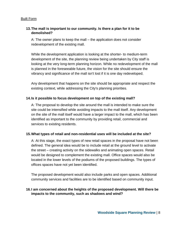#### **13.The mall is important to our community. Is there a plan for it to be demolished?**

 A: The owner plans to keep the mall – the application does not consider redevelopment of the existing mall.

 While the development application is looking at the shorter- to medium-term looking at the very long-term planning horizon. While no redevelopment of the mall vibrancy and significance of the mall isn't lost if it is one day redeveloped. development of the site, the planning review being undertaken by City staff is is planned in the foreseeable future, the vision for the site should ensure the

Any development that happens on the site should be appropriate and respect the existing context, while addressing the City's planning priorities.

#### **14.Is it possible to focus development on top of the existing mall?**

 services to existing residents. A: The proposal to develop the site around the mall is intended to make sure the site could be intensified while avoiding impacts to the mall itself. Any development on the site of the mall itself would have a larger impact to the mall, which has been identified as important to the community by providing retail, commercial and

#### **15.What types of retail and non-residential uses will be included at the site?**

 defined. The general idea would be to include retail at the ground level to activate located in the lower levels of the podiums of the proposed buildings. The types of A: At this stage, the exact types of new retail spaces in the proposal have not been the street – creating activity on the sidewalks and animating open spaces. Retail would be designed to complement the existing mall. Office spaces would also be offices spaces have not yet been identified.

The proposed development would also include parks and open spaces. Additional community services and facilities are to be identified based on community input.

#### **16.I am concerned about the heights of the proposed development. Will there be impacts to the community, such as shadows and wind?**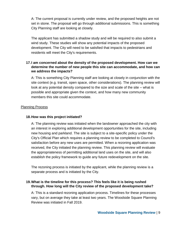A: The current proposal is currently under review, and the proposed heights are not set in stone. The proposal will go through additional submissions. This is something City Planning staff are looking at closely.

 residents will meet the City's requirements. The applicant has submitted a shadow study and will be required to also submit a wind study. These studies will show any potential impacts of the proposed development. The City will need to be satisfied that impacts to pedestrians and

#### **17.I am concerned about the density of the proposed development. How can we determine the number of new people this site can accommodate, and how can we address the impacts?**

 look at any potential density compared to the size and scale of the site – what is A: This is something City Planning staff are looking at closely in conjunction with the site context (e.g. transit, open space, other considerations). The planning review will possible and appropriate given the context, and how many new community members this site could accommodate.

#### Planning Process

#### **18.How was this project initiated?**

 establish the policy framework to guide any future redevelopment on the site. A: The planning review was initiated when the landowner approached the city with an interest in exploring additional development opportunities for the site, including new housing and parkland. The site is subject to a site-specific policy under the City's Official Plan which requires a planning review to be completed to Council's satisfaction before any new uses are permitted. When a rezoning application was received, the City initiated the planning review. This planning review will evaluate the appropriateness of permitting additional land uses on the site, and will also

 The rezoning process is initiated by the applicant, while the planning review is a separate process and is initiated by the City.

#### **19.What is the timeline for this process? This feels like it is being rushed through. How long will the City review of the proposed development take?**

A: This is a standard rezoning application process. Timelines for these processes vary, but on average they take at least two years. The Woodside Square Planning Review was initiated in Fall 2019.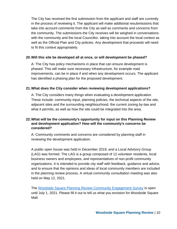take into account comments from the City as well as comments and concerns from The City has received the first submission from the applicant and staff are currently in the process of reviewing it. The applicant will make additional resubmissions that the community. The submissions the City receives will be weighed in conversations with the community and the local Councillor, taking into account the local context as well as the Official Plan and City policies. Any development that proceeds will need to fit this context appropriately.

#### **20.Will this site be developed all at once, or will development be phased?**

 A: The City has policy mechanisms in place that can ensure development is improvements, can be in place if and when any development occurs. The applicant has identified a phasing plan for the proposed development. phased. This will make sure necessary infrastructure, for example road

#### **21.What does the City consider when reviewing development applications?**

 what it permits, as well as how the site could be integrated into the area. A: The City considers many things when evaluating a development application. These include: community input, planning policies, the technical aspects of the site, adjacent sites and the surrounding neighbourhood, the current zoning by-law and

#### **22.What will be the community's opportunity for input on this Planning Review and development application? How will the community's concerns be considered?**

 A: Community comments and concerns are considered by planning staff in reviewing the development application.

 (LAG) was formed. The LAG is a group composed of 12 volunteer residents, local and to ensure that the opinions and ideas of local community members are included held on May 12, 2021. A public open house was held in December 2019, and a Local Advisory Group business owners and employees, and representatives of non-profit community organizations. It is intended to provide city staff with feedback, guidance and advice, in the planning review process. A virtual community consultation meeting was also

held on May 12, 2021.<br>The <u>Woodside Square Planning Review Community Engagement Survey</u> is open until July 1, 2021. Please fill it out to tell us what you envision for Woodside Square Mall.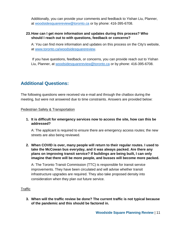Additionally, you can provide your comments and feedback to Yishan Liu, Planner, at [woodsidesquarereview@toronto.ca](mailto:woodsidesquarereview@toronto.ca) or by phone: 416-395-6708.

#### **23.How can I get more information and updates during this process? Who should I reach out to with questions, feedback or concerns?**

 A: You can find more information and updates on this process on the City's website, at [www.toronto.ca/woodsidesquarereview.](http://www.toronto.ca/woodsidesquarereview)

If you have questions, feedback, or concerns, you can provide reach out to Yishan Liu, Planner, at [woodsidesquarereview@toronto.ca](mailto:woodsidesquarereview@toronto.ca) or by phone: 416-395-6708.

# **Additional Questions:**

The following questions were received via e-mail and through the chatbox during the meeting, but were not answered due to time constraints. Answers are provided below:

Pedestrian Safety & Transportation

**1. It is difficult for emergency services now to access the site, how can this be addressed?** 

 streets are also being reviewed. A: The applicant is required to ensure there are emergency access routes; the new

 **2. When COVID is over, many people will return to their regular routes. I used to imagine that there will be more people, and busses will become more packed. take the McCowan bus everyday, and it was always packed. Are there any plans on improving transit service? If buildings are being built, I can only** 

 A: The Toronto Transit Commission (TTC) is responsible for transit service improvements. They have been circulated and will advise whether transit infrastructure upgrades are required. They also take proposed density into consideration when they plan out future service.

#### Traffic

 **3. When will the traffic review be done? The current traffic is not typical because of the pandemic and this should be factored in.**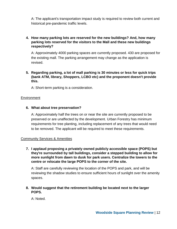A: The applicant's transportation impact study is required to review both current and historical pre-pandemic traffic levels.

#### **4. How many parking lots are reserved for the new buildings? And, how many respectively? parking lots reserved for the visitors to the Mall and these new buildings**

 the existing mall. The parking arrangement may change as the application is A: Approximately 4000 parking spaces are currently proposed. 430 are proposed for revised.

 **5. Regarding parking, a lot of mall parking is 30 minutes or less for quick trips (bank ATM, library, Shoppers, LCBO etc) and the proponent doesn't provide this.** 

A: Short-term parking is a consideration.

#### **Environment**

#### **6. What about tree preservation?**

 A: Approximately half the trees on or near the site are currently proposed to be to be removed. The applicant will be required to meet these requirements. preserved or are unaffected by the development. Urban Forestry has minimum requirements for tree planting, including replacement of any trees that would need

#### Community Services & Amenities

 **they're surrounded by tall buildings, consider a stepped building to allow for more sunlight from dawn to dusk for park users. Centralize the towers to the centre or relocate the large POPS to the corner of the site. 7. I applaud proposing a privately owned publicly accessible space (POPS) but** 

 A: Staff are carefully reviewing the location of the POPS and park, and will be reviewing the shadow studies to ensure sufficient hours of sunlight over the amenity spaces.

**8. Would suggest that the retirement building be located next to the larger POPS.** 

A: Noted.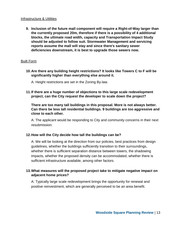#### Infrastructure & Utilities

 **reports assume the mall will stay and since there's sanitary sewer deficiencies downstream, it is best to upgrade those sewers now. 9. Inclusion of the future mall component will require a Right-of-Way larger than the currently proposed 20m, therefore if there is a possibility of 4 additional blocks, the ultimate road width, capacity and Transportation Impact Study should be adjusted to follow suit. Stormwater Management and servicing** 

#### Built Form

 **10.Are there any building height restrictions? It looks like Towers C to F will be significantly higher than everything else around it.** 

A: Height restrictions are set in the Zoning By-law.

 **11.If there are a huge number of objections to this large scale redevelopment project, can the City request the developer to scale down the project?** 

**There are too many tall buildings in this proposal. More is not always better. Can there be less tall residential buildings. 9 buildings are too aggressive and close to each other.** 

A: The applicant would be responding to City and community concerns in their next resubmission.

#### **12.How will the City decide how tall the buildings can be?**

 A: We will be looking at the direction from our policies, best practices from design whether there is sufficient separation distance between towers, the shadowing guidelines, whether the buildings sufficiently transition to their surroundings, impacts, whether the proposed density can be accommodated, whether there is sufficient infrastructure available, among other factors.

#### **13.What measures will the proposed project take to mitigate negative impact on adjacent home prices?**

 A: Typically large scale redevelopment brings the opportunity for renewal and positive reinvestment, which are generally perceived to be an area benefit.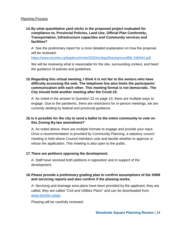#### **14.By what quantitative yard sticks is the proposed project evaluated for compliance to, Provincial Policies, Land Use, Official Plan Conformity, Transportation, Infrastructure capacities and Community services and facilities?**

A: See the preliminary report for a more detailed explanation on how the proposal will be reviewed:

[https://www.toronto.ca/legdocs/mmis/2020/sc/bgrd/backgroundfile-156044.pdf.](https://www.toronto.ca/legdocs/mmis/2020/sc/bgrd/backgroundfile-156044.pdf)

 the guidance of policies and guidelines. We will be reviewing what is reasonable for the site, surrounding context, and heed

#### **15.Regarding this virtual meeting, I think it is not fair to the seniors who have City should hold another meeting after the Covid-19. difficulty accessing the web. The telephone line also limits the participants' communication with each other. This meeting format is not democratic. The**

 A: As noted in the answer to Question 22 on page 10, there are multiple ways to engage. Due to the pandemic, there are restrictions for in-person meetings, we are currently abiding by federal and provincial guidance.

#### **this Zoning By-law amendment? 16.Is it possible for the city to send a ballot to the entire community to vote on**

 A: As noted above, there are multiple formats to engage and provide your input. meeting is held where Council members vote and decide whether to approve or Once a recommendation is provided by Community Planning, a statutory council refuse the application. This meeting is also open to the public.

#### **17.There are petitions opposing the development.**

A: Staff have received both petitions in opposition and in support of the development.

#### **18.Please provide a preliminary grading plan to confirm assumptions of the SWM and servicing reports and also confirm if the phasing works.**

 called, they are called "Civil and Utilities Plans" and can be downloaded from A: Servicing and drainage area plans have been provided by the applicant, they are [www.toronto.ca/aic.](http://www.toronto.ca/aic)

Phasing will be carefully reviewed.